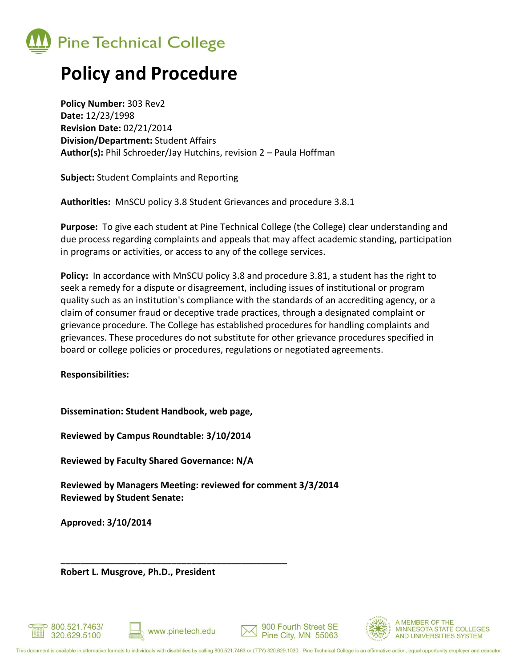

# **Policy and Procedure**

**Policy Number:** 303 Rev2 **Date:** 12/23/1998 **Revision Date:** 02/21/2014 **Division/Department:** Student Affairs **Author(s):** Phil Schroeder/Jay Hutchins, revision 2 – Paula Hoffman

**Subject:** Student Complaints and Reporting

**Authorities:** MnSCU policy 3.8 Student Grievances and procedure 3.8.1

**Purpose:** To give each student at Pine Technical College (the College) clear understanding and due process regarding complaints and appeals that may affect academic standing, participation in programs or activities, or access to any of the college services.

**Policy:** In accordance with MnSCU policy 3.8 and procedure 3.81, a student has the right to seek a remedy for a dispute or disagreement, including issues of institutional or program quality such as an institution's compliance with the standards of an accrediting agency, or a claim of consumer fraud or deceptive trade practices, through a designated complaint or grievance procedure. The College has established procedures for handling complaints and grievances. These procedures do not substitute for other grievance procedures specified in board or college policies or procedures, regulations or negotiated agreements.

**Responsibilities:**

**Dissemination: Student Handbook, web page,** 

**Reviewed by Campus Roundtable: 3/10/2014**

**Reviewed by Faculty Shared Governance: N/A**

**Reviewed by Managers Meeting: reviewed for comment 3/3/2014 Reviewed by Student Senate:**

**Approved: 3/10/2014**

**Robert L. Musgrove, Ph.D., President**





**\_\_\_\_\_\_\_\_\_\_\_\_\_\_\_\_\_\_\_\_\_\_\_\_\_\_\_\_\_\_\_\_\_\_\_\_\_\_\_\_\_\_\_\_\_**



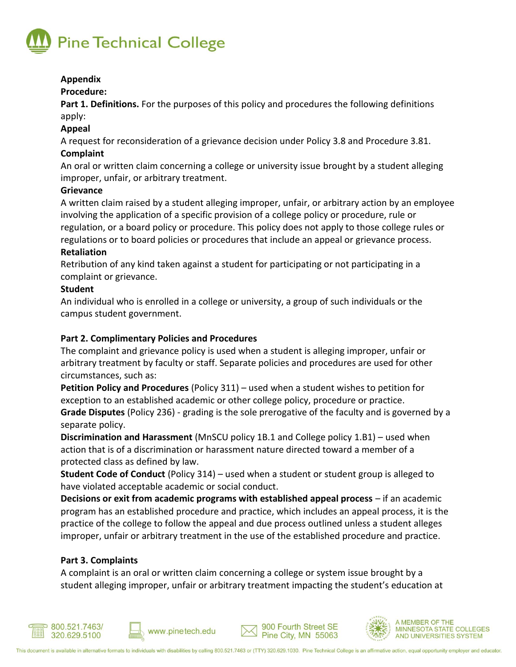

## **Appendix**

## **Procedure:**

**Part 1. Definitions.** For the purposes of this policy and procedures the following definitions apply:

## **Appeal**

A request for reconsideration of a grievance decision under Policy 3.8 and Procedure 3.81. **Complaint**

An oral or written claim concerning a college or university issue brought by a student alleging improper, unfair, or arbitrary treatment.

## **Grievance**

A written claim raised by a student alleging improper, unfair, or arbitrary action by an employee involving the application of a specific provision of a college policy or procedure, rule or regulation, or a board policy or procedure. This policy does not apply to those college rules or regulations or to board policies or procedures that include an appeal or grievance process. **Retaliation** 

Retribution of any kind taken against a student for participating or not participating in a complaint or grievance.

## **Student**

An individual who is enrolled in a college or university, a group of such individuals or the campus student government.

## **Part 2. Complimentary Policies and Procedures**

The complaint and grievance policy is used when a student is alleging improper, unfair or arbitrary treatment by faculty or staff. Separate policies and procedures are used for other circumstances, such as:

**Petition Policy and Procedures** (Policy 311) – used when a student wishes to petition for exception to an established academic or other college policy, procedure or practice. **Grade Disputes** (Policy 236) - grading is the sole prerogative of the faculty and is governed by a separate policy.

**Discrimination and Harassment** (MnSCU policy 1B.1 and College policy 1.B1) – used when action that is of a discrimination or harassment nature directed toward a member of a protected class as defined by law.

**Student Code of Conduct** (Policy 314) – used when a student or student group is alleged to have violated acceptable academic or social conduct.

**Decisions or exit from academic programs with established appeal process** – if an academic program has an established procedure and practice, which includes an appeal process, it is the practice of the college to follow the appeal and due process outlined unless a student alleges improper, unfair or arbitrary treatment in the use of the established procedure and practice.

# **Part 3. Complaints**

A complaint is an oral or written claim concerning a college or system issue brought by a student alleging improper, unfair or arbitrary treatment impacting the student's education at







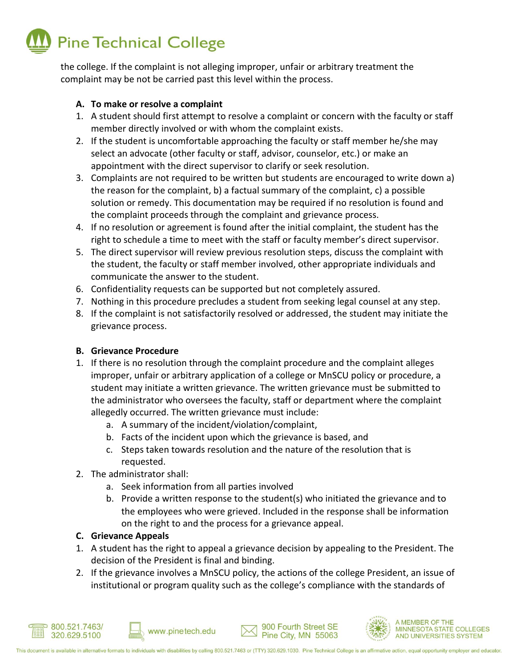

the college. If the complaint is not alleging improper, unfair or arbitrary treatment the complaint may be not be carried past this level within the process.

## **A. To make or resolve a complaint**

- 1. A student should first attempt to resolve a complaint or concern with the faculty or staff member directly involved or with whom the complaint exists.
- 2. If the student is uncomfortable approaching the faculty or staff member he/she may select an advocate (other faculty or staff, advisor, counselor, etc.) or make an appointment with the direct supervisor to clarify or seek resolution.
- 3. Complaints are not required to be written but students are encouraged to write down a) the reason for the complaint, b) a factual summary of the complaint, c) a possible solution or remedy. This documentation may be required if no resolution is found and the complaint proceeds through the complaint and grievance process.
- 4. If no resolution or agreement is found after the initial complaint, the student has the right to schedule a time to meet with the staff or faculty member's direct supervisor.
- 5. The direct supervisor will review previous resolution steps, discuss the complaint with the student, the faculty or staff member involved, other appropriate individuals and communicate the answer to the student.
- 6. Confidentiality requests can be supported but not completely assured.
- 7. Nothing in this procedure precludes a student from seeking legal counsel at any step.
- 8. If the complaint is not satisfactorily resolved or addressed, the student may initiate the grievance process.

# **B. Grievance Procedure**

- 1. If there is no resolution through the complaint procedure and the complaint alleges improper, unfair or arbitrary application of a college or MnSCU policy or procedure, a student may initiate a written grievance. The written grievance must be submitted to the administrator who oversees the faculty, staff or department where the complaint allegedly occurred. The written grievance must include:
	- a. A summary of the incident/violation/complaint,
	- b. Facts of the incident upon which the grievance is based, and
	- c. Steps taken towards resolution and the nature of the resolution that is requested.
- 2. The administrator shall:
	- a. Seek information from all parties involved

www.pinetech.edu

b. Provide a written response to the student(s) who initiated the grievance and to the employees who were grieved. Included in the response shall be information on the right to and the process for a grievance appeal.

# **C. Grievance Appeals**

- 1. A student has the right to appeal a grievance decision by appealing to the President. The decision of the President is final and binding.
- 2. If the grievance involves a MnSCU policy, the actions of the college President, an issue of institutional or program quality such as the college's compliance with the standards of